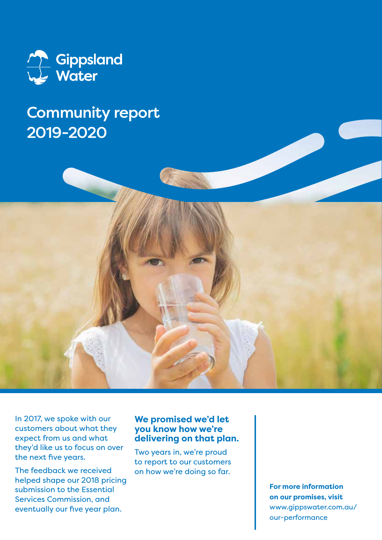

## Community report 2019-2020



The feedback we received helped shape our 2018 pricing submission to the Essential Services Commission, and eventually our five year plan.

### **We promised we'd let you know how we're delivering on that plan.**

Two years in, we're proud to report to our customers on how we're doing so far.

> **For more information on our promises, visit**  www.gippswater.com.au/ our-performance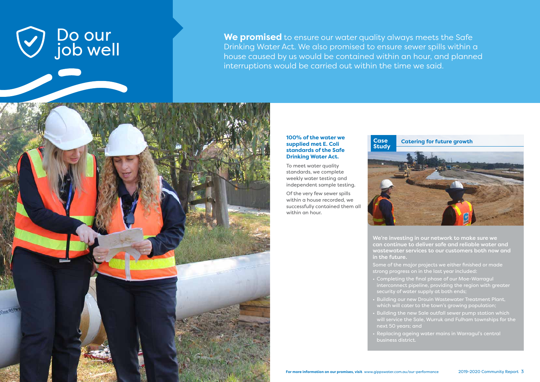**We promised** to ensure our water quality always meets the Safe Drinking Water Act. We also promised to ensure sewer spills within a house caused by us would be contained within an hour, and planned interruptions would be carried out within the time we said.



We're investing in our network to make sure we can continue to deliver safe and reliable water and wastewater services to our customers both now and

in the future.

- Some of the major projects we either finished or made strong progress on in the last year included:
- Completing the final phase of our Moe-Warragul
- interconnect pipeline, providing the region with greater security of water supply at both ends;
- Building our new Drouin Wastewater Treatment Plant, which will cater to the town's growing population;
- Building the new Sale outfall sewer pump station which will service the Sale, Wurruk and Fulham townships for the
- 
- 
- next 50 years; and
- Replacing ageing water mains in Warragul's central business district.



### **supplied met E. Coli standards of the Safe Drinking Water Act.**

To meet water quality standards, we complete weekly water testing and independent sample testing.

Of the very few sewer spills within a house recorded, we successfully contained them all within an hour.

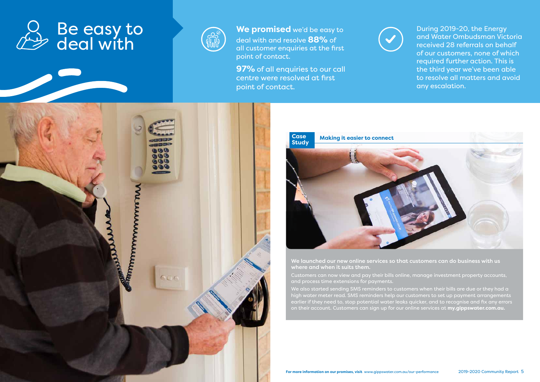**We promised** we'd be easy to deal with and resolve **88%** of all customer enquiries at the first point of contact.

**97%** of all enquiries to our call centre were resolved at first point of contact.



During 2019-20, the Energy and Water Ombudsman Victoria received 28 referrals on behalf of our customers, none of which required further action. This is the third year we've been able to resolve all matters and avoid any escalation.

We launched our new online services so that customers can do business with us where and when it suits them.

Customers can now view and pay their bills online, manage investment property accounts, and process time extensions for payments.

We also started sending SMS reminders to customers when their bills are due or they had a high water meter read. SMS reminders help our customers to set up payment arrangements earlier if they need to, stop potential water leaks quicker, and to recognise and fix any errors on their account. Customers can sign up for our online services at **my.gippswater.com.au.** 





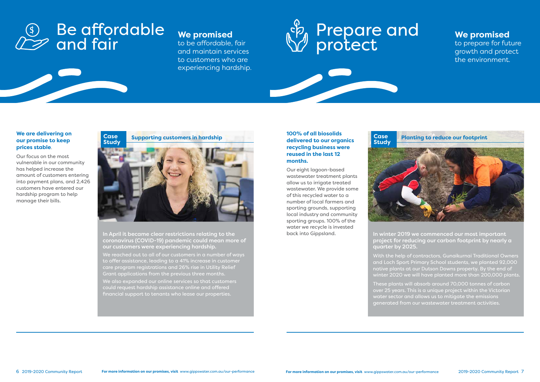In April it became clear restrictions relating to the coronavirus (COVID-19) pandemic could mean more of our customers were experiencing hardship.

We also expanded our online services so that customers could request hardship assistance online and offered financial support to tenants who lease our properties.

We reached out to all of our customers in a number of ways to offer assistance, leading to a 41% increase in customer care program registrations and 26% rise in Utility Relief Grant applications from the previous three months.

In winter 2019 we commenced our most important project for reducing our carbon footprint by nearly a

quarter by 2025.



With the help of contractors, Gunaikurnai Traditional Owners and Loch Sport Primary School students, we planted 92,000 native plants at our Dutson Downs property. By the end of winter 2020 we will have planted more than 200,000 plants.

## Be affordable and fair  $\overline{\mathfrak{s}}$

These plants will absorb around 70,000 tonnes of carbon over 25 years. This is a unique project within the Victorian water sector and allows us to mitigate the emissions generated from our wastewater treatment activities.



## **our promise to keep prices stable**.

Our focus on the most vulnerable in our community has helped increase the amount of customers entering into payment plans, and 2,426 customers have entered our hardship program to help manage their bills.

### **100% of all biosolids delivered to our organics recycling business were reused in the last 12 months.**

<u> De Santa Carta de Carta de la Carta de la Carta de la Carta de la Carta de la Carta de la Carta de la Carta de la Carta de la Carta de la Carta de la Carta de la Carta de la Carta de la Carta de la Carta de la Carta de l</u>

Our eight lagoon-based wastewater treatment plants allow us to irrigate treated wastewater. We provide some of this recycled water to a number of local farmers and sporting grounds, supporting local industry and community sporting groups. 100% of the water we recycle is invested back into Gippsland.



**We promised** to prepare for future growth and protect the environment.



## **We promised**

to be affordable, fair and maintain services to customers who are experiencing hardship.

# Prepare and protect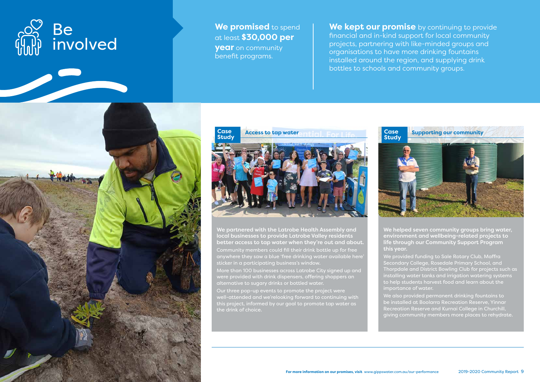**We promised** to spend at least **\$30,000 per year** on community benefit programs.

**We kept our promise** by continuing to provide financial and in-kind support for local community projects, partnering with like-minded groups and organisations to have more drinking fountains installed around the region, and supplying drink bottles to schools and community groups.



We partnered with the Latrobe Health Assembly and local businesses to provide Latrobe Valley residents better access to tap water when they're out and about.

Community members could fill their drink bottle up for free anywhere they saw a blue 'free drinking water available here' sticker in a participating business's window.

More than 100 businesses across Latrobe City signed up and were provided with drink dispensers, offering shoppers an alternative to sugary drinks or bottled water.

Our three pop-up events to promote the project were well-attended and we'relooking forward to continuing with this project, informed by our goal to promote tap water as the drink of choice.



We helped seven community groups bring water, environment and wellbeing-related projects to life through our Community Support Program

this year.

We provided funding to Sale Rotary Club, Maffra Secondary College, Rosedale Primary School, and Thorpdale and District Bowling Club for projects such as installing water tanks and irrigation watering systems to help students harvest food and learn about the importance of water.

We also provided permanent drinking fountains to be installed at Boolarra Recreation Reserve, Yinnar Recreation Reserve and Kurnai College in Churchill, giving community members more places to rehydrate.

# **Case**





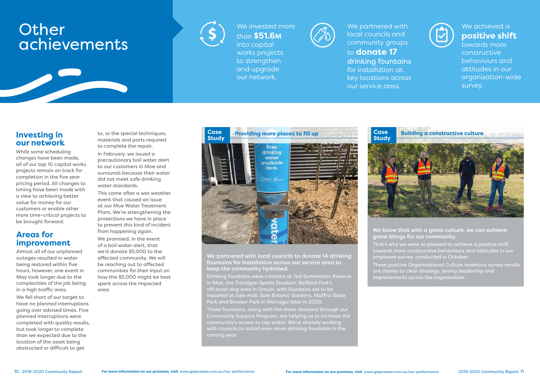We invested more than **\$51.6M** into capital



# **Other** achievements





to **donate 17** drinking fountains for installation at key locations across our service area.

We achieved a **positive shift** towards more constructive behaviours and attitudes in our organisation-wide survey.

These fountains, along with the three donated through our Community Support Program, are helping us to increase the community's access to tap water. We're already working with councils to install even more drinking fountains in the coming year.





We partnered with local councils to donate 14 drinking fountains for installation across our service area to  $\epsilon$ eep the community hydrated.  $\epsilon$  as a such as  $\epsilon$  as  $\epsilon$ 

Drinking fountains were installed at Ted Summerton Reserve in Moe, the Traralgon Sports Stadium, Bellbird Park's off-leash dog area in Drouin, with fountains set to be installed at Sale mall, Sale Botanic Gardens, Maffra Skate Park and Brooker Park in Warragul later in 2020.

We know that with  $\alpha$  great culture, we can achieve great things for our community.

# **our network**

While some scheduling changes have been made, all of our top 10 capital works projects remain on track for completion in the five year pricing period. All changes to timing have been made with a view to achieving better value for money for our customers or enable other more time-critical projects to be brought forward.

### **Areas for improvement**

Almost all of our unplanned outages resulted in water being restored within five hours, however, one event in May took longer due to the complexities of the job being in a high traffic area.

We fell short of our target to have no planned interruptions going over advised times. Five planned interruptions were completed with quality results, but took longer to complete than we expected due to the location of the asset being obstructed or difficult to get

to, or the special techniques, materials and parts required to complete the repair.

In February, we issued a precautionary boil water alert to our customers in Moe and surrounds because their water did not meet safe drinking water standards.

This came after a wet weather event that caused an issue at our Moe Water Treatment Plant. We're strenathening the protections we have in place to prevent this kind of incident from happening again.

We promised, in the event of a boil water alert, that we'd donate \$5,000 to the affected community. We will be reaching out to affected communities for their input on how this \$5,000 might be best spent across the impacted area.

- That's why we were so pleased to achieve a positive shift towards more constructive behaviours and attitudes in our employee survey, conducted in October.
- These positive Organisational Culture Inventory survey results
- are thanks to clear strategy, strong leadership and
- improvements across the organisation.

**Case**